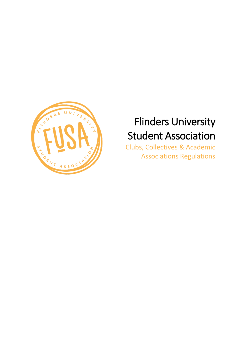

# Flinders University Student Association

Clubs, Collectives & Academic Associations Regulations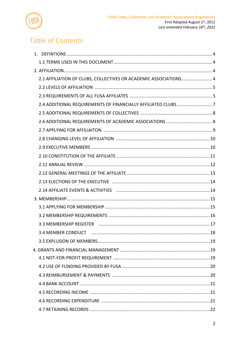

# **Table of Contents**

| 2.1 AFFILIATION OF CLUBS, COLLECTIVES OR ACADEMIC ASSOCIATIONS 4 |  |
|------------------------------------------------------------------|--|
|                                                                  |  |
|                                                                  |  |
| 2.4 ADDITIONAL REQUIREMENTS OF FINANCIALLY AFFILIATED CLUBS7     |  |
|                                                                  |  |
|                                                                  |  |
|                                                                  |  |
|                                                                  |  |
|                                                                  |  |
|                                                                  |  |
|                                                                  |  |
|                                                                  |  |
|                                                                  |  |
|                                                                  |  |
|                                                                  |  |
|                                                                  |  |
|                                                                  |  |
|                                                                  |  |
|                                                                  |  |
|                                                                  |  |
|                                                                  |  |
|                                                                  |  |
|                                                                  |  |
|                                                                  |  |
|                                                                  |  |
|                                                                  |  |
|                                                                  |  |
|                                                                  |  |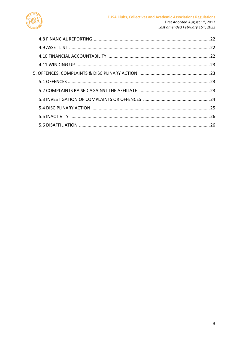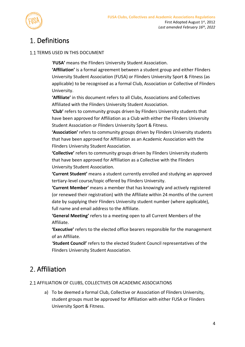

# 1. Definitions

### 1.1 TERMS USED IN THIS DOCUMENT

'**FUSA'** means the Flinders University Student Association.

**'Affiliation'** is a formal agreement between a student group and either Flinders University Student Association (FUSA) or Flinders University Sport & Fitness (as applicable) to be recognised as a formal Club, Association or Collective of Flinders University.

**'Affiliate'** in this document refers to all Clubs, Associations and Collectives Affiliated with the Flinders University Student Association.

**'Club'** refers to community groups driven by Flinders University students that have been approved for Affiliation as a Club with either the Flinders University Student Association or Flinders University Sport & Fitness.

**'Association'** refers to community groups driven by Flinders University students that have been approved for Affiliation as an Academic Association with the Flinders University Student Association.

**'Collective'** refers to community groups driven by Flinders University students that have been approved for Affiliation as a Collective with the Flinders University Student Association.

**'Current Student'** means a student currently enrolled and studying an approved tertiary-level course/topic offered by Flinders University.

**'Current Member'** means a member that has knowingly and actively registered (or renewed their registration) with the Affiliate within 24 months of the current date by supplying their Flinders University student number (where applicable), full name and email address to the Affiliate.

**'General Meeting'** refers to a meeting open to all Current Members of the Affiliate.

**'Executive'** refers to the elected office bearers responsible for the management of an Affiliate.

'**Student Council'** refers to the elected Student Council representatives of the Flinders University Student Association.

# 2. Affiliation

2.1 AFFILIATION OF CLUBS, COLLECTIVES OR ACADEMIC ASSOCIATIONS

a) To be deemed a formal Club, Collective or Association of Flinders University, student groups must be approved for Affiliation with either FUSA or Flinders University Sport & Fitness.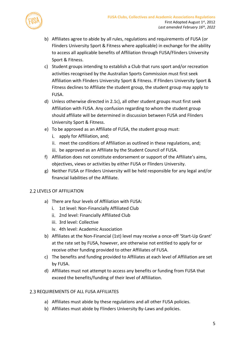

- b) Affiliates agree to abide by all rules, regulations and requirements of FUSA (or Flinders University Sport & Fitness where applicable) in exchange for the ability to access all applicable benefits of Affiliation through FUSA/Flinders University Sport & Fitness.
- <span id="page-4-0"></span>c) Student groups intending to establish a Club that runs sport and/or recreation activities recognised by the Australian Sports Commission must first seek Affiliation with Flinders University Sport & Fitness. If Flinders University Sport & Fitness declines to Affiliate the student group, the student group may apply to FUSA.
- d) Unless otherwise directed in [2.1c\),](#page-4-0) all other student groups must first seek Affiliation with FUSA. Any confusion regarding to whom the student group should affiliate will be determined in discussion between FUSA and Flinders University Sport & Fitness.
- e) To be approved as an Affiliate of FUSA, the student group must:
	- i. apply for Affiliation, and;
	- meet the conditions of Affiliation as outlined in these regulations, and;
	- iii. be approved as an Affiliate by the Student Council of FUSA.
- f) Affiliation does not constitute endorsement or support of the Affiliate's aims, objectives, views or activities by either FUSA or Flinders University.
- g) Neither FUSA or Flinders University will be held responsible for any legal and/or financial liabilities of the Affiliate.

### 2.2 LEVELS OF AFFILIATION

- a) There are four levels of Affiliation with FUSA:
	- i. 1st level: Non-Financially Affiliated Club
	- 2nd level: Financially Affiliated Club
	- iii. 3rd level: Collective
	- iv. 4th level: Academic Association
- b) Affiliates at the Non-Financial (1st) level may receive a once-off 'Start-Up Grant' at the rate set by FUSA, however, are otherwise not entitled to apply for or receive other funding provided to other Affiliates of FUSA.
- c) The benefits and funding provided to Affiliates at each level of Affiliation are set by FUSA.
- d) Affiliates must not attempt to access any benefits or funding from FUSA that exceed the benefits/funding of their level of Affiliation.

### 2.3 REQUIREMENTS OF ALL FUSA AFFILIATES

- a) Affiliates must abide by these regulations and all other FUSA policies.
- b) Affiliates must abide by Flinders University By-Laws and policies.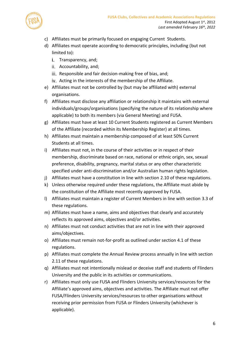

- c) Affiliates must be primarily focused on engaging Current Students.
- <span id="page-5-0"></span>d) Affiliates must operate according to democratic principles, including (but not limited to):
	- i. Transparency, and;
	- ii. Accountability, and;
	- iii. Responsible and fair decision-making free of bias, and;
	- iv. Acting in the interests of the membership of the Affiliate.
- e) Affiliates must not be controlled by (but may be affiliated with) external organisations.
- f) Affiliates must disclose any affiliation or relationship it maintains with external individuals/groups/organisations (specifying the nature of its relationship where applicable) to both its members (via General Meeting) and FUSA.
- g) Affiliates must have at least 10 Current Students registered as Current Members of the Affiliate (recorded within its Membership Register) at all times.
- h) Affiliates must maintain a membership composed of at least 50% Current Students at all times.
- i) Affiliates must not, in the course of their activities or in respect of their membership, discriminate based on race, national or ethnic origin, sex, sexual preference, disability, pregnancy, marital status or any other characteristic specified under anti-discrimination and/or Australian human rights legislation.
- j) Affiliates must have a constitution in line with section [2.10](#page-10-0) of these regulations.
- k) Unless otherwise required under these regulations, the Affiliate must abide by the constitution of the Affiliate most recently approved by FUSA.
- l) Affiliates must maintain a register of Current Members in line with section [3.3](#page-16-0) of these regulations.
- m) Affiliates must have a name, aims and objectives that clearly and accurately reflects its approved aims, objectives and/or activities.
- n) Affiliates must not conduct activities that are not in line with their approved aims/objectives.
- o) Affiliates must remain not-for-profit as outlined under sectio[n 4.1](#page-18-0) of these regulations.
- p) Affiliates must complete the Annual Review process annually in line with section [2.11](#page-11-0) of these regulations.
- q) Affiliates must not intentionally mislead or deceive staff and students of Flinders University and the public in its activities or communications.
- r) Affiliates must only use FUSA and Flinders University services/resources for the Affiliate's approved aims, objectives and activities. The Affiliate must not offer FUSA/Flinders University services/resources to other organisations without receiving prior permission from FUSA or Flinders University (whichever is applicable).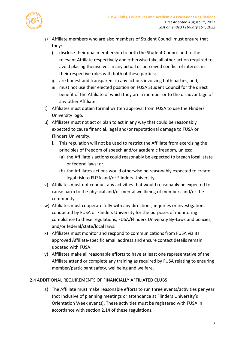

- s) Affiliate members who are also members of Student Council must ensure that they:
	- i. disclose their dual membership to both the Student Council and to the relevant Affiliate respectively and otherwise take all other action required to avoid placing themselves in any actual or perceived conflict of interest in their respective roles with both of these parties;
	- ii. are honest and transparent in any actions involving both parties, and;
	- iii. must not use their elected position on FUSA Student Council for the direct benefit of the Affiliate of which they are a member or to the disadvantage of any other Affiliate.
- t) Affiliates must obtain formal written approval from FUSA to use the Flinders University logo.
- u) Affiliates must not act or plan to act in any way that could be reasonably expected to cause financial, legal and/or reputational damage to FUSA or Flinders University.
	- This regulation will not be used to restrict the Affiliate from exercising the principles of freedom of speech and/or academic freedom, unless:
		- (a) the Affiliate's actions could reasonably be expected to breach local, state or federal laws; or
		- (b) the Affiliates actions would otherwise be reasonably expected to create legal risk to FUSA and/or Flinders University.
- v) Affiliates must not conduct any activities that would reasonably be expected to cause harm to the physical and/or mental wellbeing of members and/or the community.
- w) Affiliates must cooperate fully with any directions, inquiries or investigations conducted by FUSA or Flinders University for the purposes of monitoring compliance to these regulations, FUSA/Flinders University By-Laws and policies, and/or federal/state/local laws.
- x) Affiliates must monitor and respond to communications from FUSA via its approved Affiliate-specific email address and ensure contact details remain updated with FUSA.
- y) Affiliates make all reasonable efforts to have at least one representative of the Affiliate attend or complete any training as required by FUSA relating to ensuring member/participant safety, wellbeing and welfare.

### 2.4 ADDITIONAL REQUIREMENTS OF FINANCIALLY AFFILIATED CLUBS

a) The Affiliate must make reasonable efforts to run three events/activities per year (not inclusive of planning meetings or attendance at Flinders University's Orientation Week events). These activities must be registered with FUSA in accordance with section [2.14](#page-13-0) of these regulations.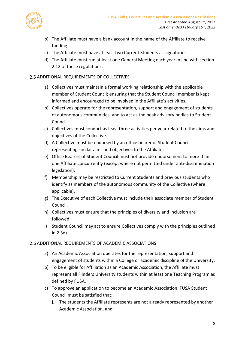



- b) The Affiliate must have a bank account in the name of the Affiliate to receive funding.
- c) The Affiliate must have at least two Current Students as signatories.
- d) The Affiliate must run at least one General Meeting each year in line with section [2.12](#page-12-0) of these regulations.

### 2.5 ADDITIONAL REQUIREMENTS OF COLLECTIVES

- a) Collectives must maintain a formal working relationship with the applicable member of Student Council; ensuring that the Student Council member is kept informed and encouraged to be involved in the Affiliate's activities.
- b) Collectives operate for the representation, support and engagement of students of autonomous communities, and to act as the peak advisory bodies to Student Council.
- c) Collectives must conduct as least three activities per year related to the aims and objectives of the Collective.
- d) A Collective must be endorsed by an office bearer of Student Council representing similar aims and objectives to the Affiliate.
- e) Office Bearers of Student Council must not provide endorsement to more than one Affiliate concurrently (except where not permitted under anti-discrimination legislation).
- f) Membership may be restricted to Current Students and previous students who identify as members of the autonomous community of the Collective (where applicable).
- g) The Executive of each Collective must include their associate member of Student Council.
- h) Collectives must ensure that the principles of diversity and inclusion are followed.
- i) Student Council may act to ensure Collectives comply with the principles outlined in [2.3d\).](#page-5-0)

### 2.6 ADDITIONAL REQUIREMENTS OF ACADEMIC ASSOCIATIONS

- a) An Academic Association operates for the representation, support and engagement of students within a College or academic discipline of the University.
- b) To be eligible for Affiliation as an Academic Association, the Affiliate must represent all Flinders University students within at least one Teaching Program as defined by FUSA.
- c) To approve an application to become an Academic Association, FUSA Student Council must be satisfied that:
	- i. The students the Affiliate represents are not already represented by another Academic Association, and;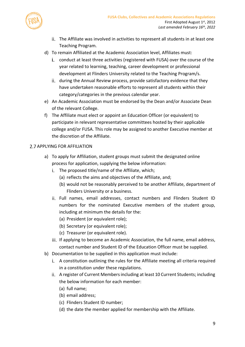

- The Affiliate was involved in activities to represent all students in at least one Teaching Program.
- d) To remain Affiliated at the Academic Association level, Affiliates must:
	- conduct at least three activities (registered with FUSA) over the course of the year related to learning, teaching, career development or professional development at Flinders University related to the Teaching Program/s.
	- ii. during the Annual Review process, provide satisfactory evidence that they have undertaken reasonable efforts to represent all students within their category/categories in the previous calendar year.
- e) An Academic Association must be endorsed by the Dean and/or Associate Dean of the relevant College.
- f) The Affiliate must elect or appoint an Education Officer (or equivalent) to participate in relevant representative committees hosted by their applicable college and/or FUSA. This role may be assigned to another Executive member at the discretion of the Affiliate.

### 2.7 APPLYING FOR AFFILIATION

- a) To apply for Affiliation, student groups must submit the designated online process for application, supplying the below information:
	- i. The proposed title/name of the Affiliate, which;
		- (a) reflects the aims and objectives of the Affiliate, and;
		- (b) would not be reasonably perceived to be another Affiliate, department of Flinders University or a business.
	- ii. Full names, email addresses, contact numbers and Flinders Student ID numbers for the nominated Executive members of the student group, including at minimum the details for the:
		- (a) President (or equivalent role);
		- (b) Secretary (or equivalent role);
		- (c) Treasurer (or equivalent role).
	- iii. If applying to become an Academic Association, the full name, email address, contact number and Student ID of the Education Officer must be supplied.
- b) Documentation to be supplied in this application must include:
	- A constitution outlining the rules for the Affiliate meeting all criteria required in a constitution under these regulations.
	- ii. A register of Current Members including at least 10 Current Students; including the below information for each member:
		- (a) full name;
		- (b) email address;
		- (c) Flinders Student ID number;
		- (d) the date the member applied for membership with the Affiliate.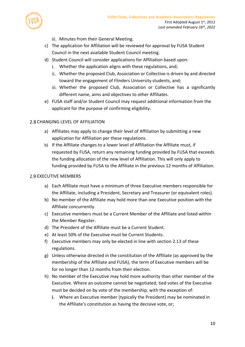

- iii. Minutes from their General Meeting.
- c) The application for Affiliation will be reviewed for approval by FUSA Student Council in the next available Student Council meeting.
- d) Student Council will consider applications for Affiliation based upon:
	- Whether the application aligns with these regulations, and;
	- Whether the proposed Club, Association or Collective is driven by and directed toward the engagement of Flinders University students, and;
	- iii. Whether the proposed Club, Association or Collective has a significantly different name, aims and objectives to other Affiliates.
- e) FUSA staff and/or Student Council may request additional information from the applicant for the purpose of confirming eligibility.

#### 2.8 CHANGING LEVEL OF AFFILIATION

- a) Affiliates may apply to change their level of Affiliation by submitting a new application for Affiliation per these regulations.
- b) If the Affiliate changes to a lower level of Affiliation the Affiliate must, if requested by FUSA, return any remaining funding provided by FUSA that exceeds the funding allocation of the new level of Affiliation. This will only apply to funding provided by FUSA to the Affiliate in the previous 12 months of Affiliation.

#### 2.9 EXECUTIVE MEMBERS

- a) Each Affiliate must have a minimum of three Executive members responsible for the Affiliate, including a President, Secretary and Treasurer (or equivalent roles).
- b) No member of the Affiliate may hold more than one Executive position with the Affiliate concurrently.
- c) Executive members must be a Current Member of the Affiliate and listed within the Member Register.
- d) The President of the Affiliate must be a Current Student.
- e) At least 50% of the Executive must be Current Students.
- f) Executive members may only be elected in line with section [2.13](#page-13-1) of these regulations.
- g) Unless otherwise directed in the constitution of the Affiliate (as approved by the membership of the Affiliate and FUSA), the term of Executive members will be for no longer than 12 months from their election.
- h) No member of the Executive may hold more authority than other member of the Executive. Where an outcome cannot be negotiated, tied votes of the Executive must be decided on by vote of the membership, with the exception of:
	- Where an Executive member (typically the President) may be nominated in the Affiliate's constitution as having the decisive vote, or;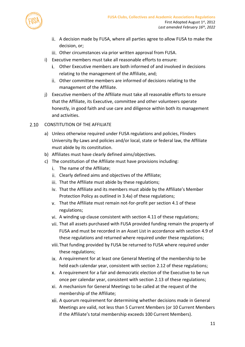

- A decision made by FUSA, where all parties agree to allow FUSA to make the decision, or;
- Other circumstances via prior written approval from FUSA.
- i) Executive members must take all reasonable efforts to ensure:
	- Other Executive members are both informed of and involved in decisions relating to the management of the Affiliate, and;
	- Other committee members are informed of decisions relating to the management of the Affiliate.
- j) Executive members of the Affiliate must take all reasonable efforts to ensure that the Affiliate, its Executive, committee and other volunteers operate honestly, in good faith and use care and diligence within both its management and activities.
- <span id="page-10-0"></span>2.10 CONSTITUTION OF THE AFFILIATE
	- a) Unless otherwise required under FUSA regulations and policies, Flinders University By-Laws and policies and/or local, state or federal law, the Affiliate must abide by its constitution.
	- b) Affiliates must have clearly defined aims/objectives.
	- c) The constitution of the Affiliate must have provisions including:
		- i. The name of the Affiliate;
		- Clearly defined aims and objectives of the Affiliate;
		- iii. That the Affiliate must abide by these regulations;
		- iv. That the Affiliate and its members must abide by the Affiliate's Member Protection Policy as outlined in [3.4a\)](#page-17-0) of these regulations;
		- That the Affiliate must remain not-for-profit per section [4.1](#page-18-0) of these regulations;
		- vi. A winding up clause consistent with section [4.11](#page-22-0) of these regulations;
		- That all assets purchased with FUSA provided funding remain the property of FUSA and must be recorded in an Asset List in accordance with section [4.9](#page-21-0) of these regulations and returned where required under these regulations;
		- viii. That funding provided by FUSA be returned to FUSA where required under these regulations;
		- A requirement for at least one General Meeting of the membership to be held each calendar year, consistent with section [2.12](#page-12-0) of these regulations;
		- A requirement for a fair and democratic election of the Executive to be run once per calendar year, consistent with section [2.13](#page-13-1) of these regulations;
		- A mechanism for General Meetings to be called at the request of the membership of the Affiliate;
		- A quorum requirement for determining whether decisions made in General Meetings are valid, not less than 5 Current Members (or 10 Current Members if the Affiliate's total membership exceeds 100 Current Members).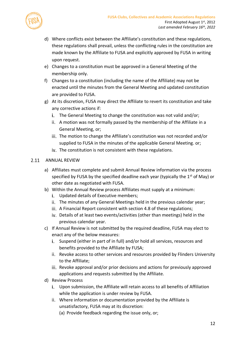

- d) Where conflicts exist between the Affiliate's constitution and these regulations, these regulations shall prevail, unless the conflicting rules in the constitution are made known by the Affiliate to FUSA and explicitly approved by FUSA in writing upon request.
- e) Changes to a constitution must be approved in a General Meeting of the membership only.
- f) Changes to a constitution (including the name of the Affiliate) may not be enacted until the minutes from the General Meeting and updated constitution are provided to FUSA.
- g) At its discretion, FUSA may direct the Affiliate to revert its constitution and take any corrective actions if:
	- i. The General Meeting to change the constitution was not valid and/or;
	- A motion was not formally passed by the membership of the Affiliate in a General Meeting, or;
	- iii. The motion to change the Affiliate's constitution was not recorded and/or supplied to FUSA in the minutes of the applicable General Meeting. or;
	- iv. The constitution is not consistent with these regulations.

### 2.11 ANNUAL REVIEW

- <span id="page-11-0"></span>a) Affiliates must complete and submit Annual Review information via the process specified by FUSA by the specified deadline each year (typically the  $1<sup>st</sup>$  of May) or other date as negotiated with FUSA.
- b) Within the Annual Review process Affiliates must supply at a minimum:
	- i. Updated details of Executive members;
	- ii. The minutes of any General Meetings held in the previous calendar year;
	- iii. A Financial Report consistent with section [4.8](#page-21-1) of these regulations;
	- iv. Details of at least two events/activities (other than meetings) held in the previous calendar year.
- c) If Annual Review is not submitted by the required deadline, FUSA may elect to enact any of the below measures:
	- i. Suspend (either in part of in full) and/or hold all services, resources and benefits provided to the Affiliate by FUSA;
	- ii. Revoke access to other services and resources provided by Flinders University to the Affiliate;
	- iii. Revoke approval and/or prior decisions and actions for previously approved applications and requests submitted by the Affiliate.
- d) Review Process
	- Upon submission, the Affiliate will retain access to all benefits of Affiliation while the application is under review by FUSA.
	- Where information or documentation provided by the Affiliate is unsatisfactory, FUSA may at its discretion:
		- (a) Provide feedback regarding the issue only, or;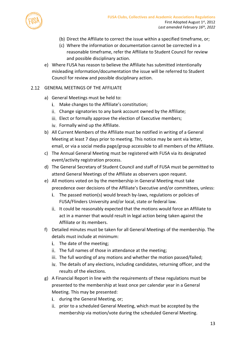

- (b) Direct the Affiliate to correct the issue within a specified timeframe, or;
- (c) Where the information or documentation cannot be corrected in a reasonable timeframe, refer the Affiliate to Student Council for review and possible disciplinary action.
- e) Where FUSA has reason to believe the Affiliate has submitted intentionally misleading information/documentation the issue will be referred to Student Council for review and possible disciplinary action.
- <span id="page-12-0"></span>GENERAL MEETINGS OF THE AFFILIATE
	- a) General Meetings must be held to:
		- Make changes to the Affiliate's constitution;
		- ii. Change signatories to any bank account owned by the Affiliate;
		- iii. Elect or formally approve the election of Executive members;
		- iv. Formally wind up the Affiliate.
	- b) All Current Members of the Affiliate must be notified in writing of a General Meeting at least 7 days prior to meeting. This notice may be sent via letter, email, or via a social media page/group accessible to all members of the Affiliate.
	- c) The Annual General Meeting must be registered with FUSA via its designated event/activity registration process.
	- d) The General Secretary of Student Council and staff of FUSA must be permitted to attend General Meetings of the Affiliate as observers upon request.
	- e) All motions voted on by the membership in General Meeting must take precedence over decisions of the Affiliate's Executive and/or committees, unless:
		- The passed motion(s) would breach by-laws, regulations or policies of FUSA/Flinders University and/or local, state or federal law.
		- ii. It could be reasonably expected that the motions would force an Affiliate to act in a manner that would result in legal action being taken against the Affiliate or its members.
	- f) Detailed minutes must be taken for all General Meetings of the membership. The details must include at minimum:
		- $i$ . The date of the meeting;
		- ii. The full names of those in attendance at the meeting;
		- iii. The full wording of any motions and whether the motion passed/failed;
		- iv. The details of any elections, including candidates, returning officer, and the results of the elections.
	- g) A Financial Report in line with the requirements of these regulations must be presented to the membership at least once per calendar year in a General Meeting. This may be presented:
		- i. during the General Meeting, or;
		- ii. prior to a scheduled General Meeting, which must be accepted by the membership via motion/vote during the scheduled General Meeting.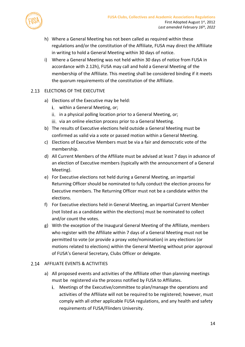

- <span id="page-13-2"></span>h) Where a General Meeting has not been called as required within these regulations and/or the constitution of the Affiliate, FUSA may direct the Affiliate in writing to hold a General Meeting within 30 days of notice.
- i) Where a General Meeting was not held within 30 days of notice from FUSA in accordance with [2.12h\),](#page-13-2) FUSA may call and hold a General Meeting of the membership of the Affiliate. This meeting shall be considered binding if it meets the quorum requirements of the constitution of the Affiliate.

# <span id="page-13-1"></span>2.13 ELECTIONS OF THE EXECUTIVE

- a) Elections of the Executive may be held:
	- i. within a General Meeting, or;
	- ii. in a physical polling location prior to a General Meeting, or;
	- iii. via an online election process prior to a General Meeting.
- b) The results of Executive elections held outside a General Meeting must be confirmed as valid via a vote or passed motion within a General Meeting.
- c) Elections of Executive Members must be via a fair and democratic vote of the membership.
- d) All Current Members of the Affiliate must be advised at least 7 days in advance of an election of Executive members (typically with the announcement of a General Meeting).
- e) For Executive elections not held during a General Meeting, an impartial Returning Officer should be nominated to fully conduct the election process for Executive members. The Returning Officer must not be a candidate within the elections.
- f) For Executive elections held in General Meeting, an impartial Current Member (not listed as a candidate within the elections) must be nominated to collect and/or count the votes.
- g) With the exception of the Inaugural General Meeting of the Affiliate, members who register with the Affiliate within 7 days of a General Meeting must not be permitted to vote (or provide a proxy vote/nomination) in any elections (or motions related to elections) within the General Meeting without prior approval of FUSA's General Secretary, Clubs Officer or delegate.

### <span id="page-13-3"></span><span id="page-13-0"></span>2.14 AFFILIATE EVENTS & ACTIVITIES

- a) All proposed events and activities of the Affiliate other than planning meetings must be registered via the process notified by FUSA to Affiliates.
	- Meetings of the Executive/committee to plan/manage the operations and activities of the Affiliate will not be required to be registered; however, must comply with all other applicable FUSA regulations, and any health and safety requirements of FUSA/Flinders University.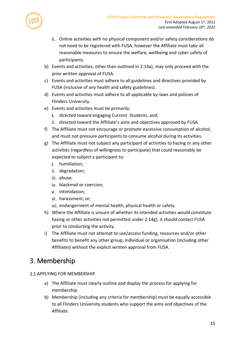

- Online activities with no physical component and/or safety considerations do not need to be registered with FUSA, however the Affiliate must take all reasonable measures to ensure the welfare, wellbeing and cyber safety of participants.
- b) Events and activities, other than outlined in [2.14a\),](#page-13-3) may only proceed with the prior written approval of FUSA.
- c) Events and activities must adhere to all guidelines and directives provided by FUSA (inclusive of any health and safety guidelines).
- d) Events and activities must adhere to all applicable by-laws and policies of Flinders University.
- e) Events and activities must be primarily:
	- i. directed toward engaging Current Students, and;
	- ii. directed toward the Affiliate's aims and objectives approved by FUSA.
- f) The Affiliate must not encourage or promote excessive consumption of alcohol, and must not pressure participants to consume alcohol during its activities.
- <span id="page-14-0"></span>g) The Affiliate must not subject any participant of activities to hazing or any other activities (regardless of willingness to participate) that could reasonably be expected to subject a participant to:
	- i. humiliation;
	- ii. degradation;
	- iii. abuse;
	- iv. blackmail or coercion;
	- v. intimidation;
	- vi. harassment, or;
	- vii. endangerment of mental health, physical health or safety.
- h) Where the Affiliate is unsure of whether its intended activities would constitute hazing or other activities not permitted under [2.14g\),](#page-14-0) it should contact FUSA prior to conducting the activity.
- i) The Affiliate must not attempt to use/access funding, resources and/or other benefits to benefit any other group, individual or organisation (including other Affiliates) without the explicit written approval from FUSA.

# 3. Membership

- **3.1 APPLYING FOR MEMBERSHIP** 
	- a) The Affiliate must clearly outline and display the process for applying for membership.
	- b) Membership (including any criteria for membership) must be equally accessible to all Flinders University students who support the aims and objectives of the Affiliate.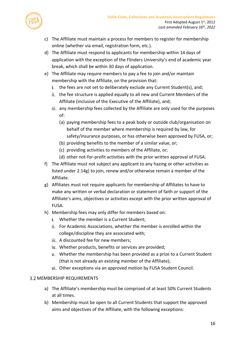

- c) The Affiliate must maintain a process for members to register for membership online (whether via email, registration form, etc.).
- d) The Affiliate must respond to applicants for membership within 14 days of application with the exception of the Flinders University's end of academic year break, which shall be within 30 days of application.
- e) The Affiliate may require members to pay a fee to join and/or maintain membership with the Affiliate, on the provision that:
	- i. the fees are not set to deliberately exclude any Current Student(s), and;
	- i. the fee structure is applied equally to all new and Current Members of the Affiliate (inclusive of the Executive of the Affiliate), and;
	- iii. any membership fees collected by the Affiliate are only used for the purposes of:
		- (a) paying membership fees to a peak body or outside club/organisation on behalf of the member where membership is required by law, for safety/insurance purposes, or has otherwise been approved by FUSA, or;
		- (b) providing benefits to the member of a similar value, or;
		- (c) providing activities to members of the Affiliate, or;
		- (d) other not-for-profit activities with the prior written approval of FUSA.
- f) The Affiliate must not subject any applicant to any hazing or other activities as listed under [2.14g\)](#page-14-0) to join, renew and/or otherwise remain a member of the Affiliate.
- g) Affiliates must not require applicants for membership of Affiliates to have to make any written or verbal declaration or statement of faith or support of the Affiliate's aims, objectives or activities except with the prior written approval of FUSA.
- h) Membership fees may only differ for members based on:
	- Whether the member is a Current Student;
	- ii. For Academic Associations, whether the member is enrolled within the college/discipline they are associated with;
	- iii. A discounted fee for new members;
	- iv. Whether products, benefits or services are provided;
	- Whether the membership has been provided as a prize to a Current Student (that is not already an existing member of the Affiliate);
	- vi. Other exceptions via an approved motion by FUSA Student Council.

# 3.2 MEMBERSHIP REQUIREMENTS

- a) The Affiliate's membership must be comprised of at least 50% Current Students at all times.
- b) Membership must be open to all Current Students that support the approved aims and objectives of the Affiliate, with the following exceptions: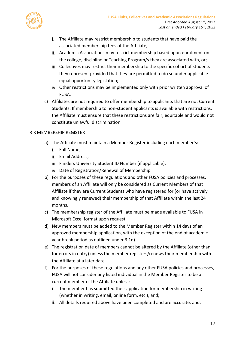

- i. The Affiliate may restrict membership to students that have paid the associated membership fees of the Affiliate;
- Academic Associations may restrict membership based upon enrolment on the college, discipline or Teaching Program/s they are associated with, or;
- iii. Collectives may restrict their membership to the specific cohort of students they represent provided that they are permitted to do so under applicable equal opportunity legislation;
- iv. Other restrictions may be implemented only with prior written approval of FUSA.
- c) Affiliates are not required to offer membership to applicants that are not Current Students. If membership to non-student applicants is available with restrictions, the Affiliate must ensure that these restrictions are fair, equitable and would not constitute unlawful discrimination.

# <span id="page-16-0"></span>3.3 MEMBERSHIP REGISTER

- a) The Affiliate must maintain a Member Register including each member's:
	- i. Full Name:
	- ii. Email Address;
	- iii. Flinders University Student ID Number (if applicable);
	- iv. Date of Registration/Renewal of Membership.
- b) For the purposes of these regulations and other FUSA policies and processes, members of an Affiliate will only be considered as Current Members of that Affiliate if they are Current Students who have registered for (or have actively and knowingly renewed) their membership of that Affiliate within the last 24 months.
- c) The membership register of the Affiliate must be made available to FUSA in Microsoft Excel format upon request.
- d) New members must be added to the Member Register within 14 days of an approved membership application, with the exception of the end of academic year break period as outlined under 3.1d)
- e) The registration date of members cannot be altered by the Affiliate (other than for errors in entry) unless the member registers/renews their membership with the Affiliate at a later date.
- f) For the purposes of these regulations and any other FUSA policies and processes, FUSA will not consider any listed individual in the Member Register to be a current member of the Affiliate unless:
	- i. The member has submitted their application for membership in writing (whether in writing, email, online form, etc.), and;
	- All details required above have been completed and are accurate, and;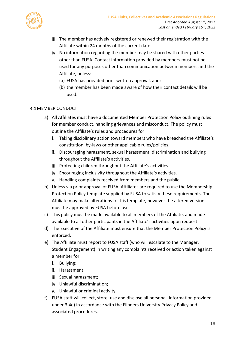

- iii. The member has actively registered or renewed their registration with the Affiliate within 24 months of the current date.
- iv. No information regarding the member may be shared with other parties other than FUSA. Contact information provided by members must not be used for any purposes other than communication between members and the Affiliate, unless:
	- (a) FUSA has provided prior written approval, and;
	- (b) the member has been made aware of how their contact details will be used.

### <span id="page-17-0"></span>3.4 MEMBER CONDUCT

- a) All Affiliates must have a documented Member Protection Policy outlining rules for member conduct, handling grievances and misconduct. The policy must outline the Affiliate's rules and procedures for:
	- Taking disciplinary action toward members who have breached the Affiliate's constitution, by-laws or other applicable rules/policies.
	- ii. Discouraging harassment, sexual harassment, discrimination and bullying throughout the Affiliate's activities.
	- iii. Protecting children throughout the Affiliate's activities.
	- iv. Encouraging inclusivity throughout the Affiliate's activities.
	- v. Handling complaints received from members and the public.
- b) Unless via prior approval of FUSA, Affiliates are required to use the Membership Protection Policy template supplied by FUSA to satisfy these requirements. The Affiliate may make alterations to this template, however the altered version must be approved by FUSA before use.
- c) This policy must be made available to all members of the Affiliate, and made available to all other participants in the Affiliate's activities upon request.
- d) The Executive of the Affiliate must ensure that the Member Protection Policy is enforced.
- <span id="page-17-1"></span>e) The Affiliate must report to FUSA staff (who will escalate to the Manager, Student Engagement) in writing any complaints received or action taken against a member for:
	- i. Bullying;
	- ii. Harassment;
	- iii. Sexual harassment;
	- iv. Unlawful discrimination;
	- v. Unlawful or criminal activity.
- f) FUSA staff will collect, store, use and disclose all personal information provided under [3.4e\)](#page-17-1) in accordance with the Flinders University Privacy Policy and associated procedures.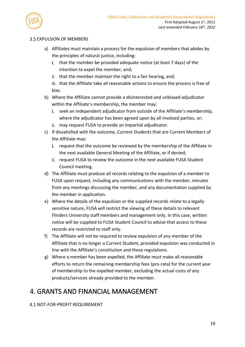

### **3.5 EXPULSION OF MEMBERS**

- a) Affiliates must maintain a process for the expulsion of members that abides by the principles of natural justice, including:
	- i. that the member be provided adequate notice (at least 7 days) of the intention to expel the member, and;
	- ii. that the member maintain the right to a fair hearing, and;
	- iii. that the Affiliate take all reasonable actions to ensure the process is free of bias.
- b) Where the Affiliate cannot provide a disinterested and unbiased adjudicator within the Affiliate's membership, the member may:
	- i. seek an independent adjudicator from outside of the Affiliate's membership, where the adjudicator has been agreed upon by all involved parties, or;
	- may request FUSA to provide an impartial adjudicator.
- c) If dissatisfied with the outcome, Current Students that are Current Members of the Affiliate may:
	- i. request that the outcome be reviewed by the membership of the Affiliate in the next available General Meeting of the Affiliate, or if denied;
	- ii. request FUSA to review the outcome in the next available FUSA Student Council meeting.
- d) The Affiliate must produce all records relating to the expulsion of a member to FUSA upon request, including any communications with the member, minutes from any meetings discussing the member, and any documentation supplied by the member in application.
- e) Where the details of the expulsion or the supplied records relate to a legally sensitive nature, FUSA will restrict the viewing of these details to relevant Flinders University staff members and management only. In this case, written notice will be supplied to FUSA Student Council to advise that access to these records are restricted to staff only.
- f) The Affiliate will not be required to review expulsion of any member of the Affiliate that is no longer a Current Student, provided expulsion was conducted in line with the Affiliate's constitution and these regulations.
- g) Where a member has been expelled, the Affiliate must make all reasonable efforts to return the remaining membership fees (pro-rata) for the current year of membership to the expelled member, excluding the actual costs of any products/services already provided to the member.

# GRANTS AND FINANCIAL MANAGEMENT

# <span id="page-18-0"></span>4.1 NOT-FOR-PROFIT REQUIREMENT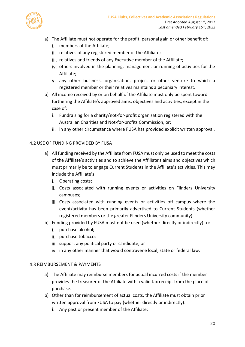

- a) The Affiliate must not operate for the profit, personal gain or other benefit of:
	- i. members of the Affiliate:
	- ii. relatives of any registered member of the Affiliate;
	- iii. relatives and friends of any Executive member of the Affiliate;
	- iv. others involved in the planning, management or running of activities for the Affiliate;
	- any other business, organisation, project or other venture to which a registered member or their relatives maintains a pecuniary interest.
- b) All income received by or on behalf of the Affiliate must only be spent toward furthering the Affiliate's approved aims, objectives and activities, except in the case of:
	- Fundraising for a charity/not-for-profit organisation registered with the Australian Charities and Not-for-profits Commission, or;
	- ii. in any other circumstance where FUSA has provided explicit written approval.

#### 4.2 USE OF FUNDING PROVIDED BY FUSA

- a) All funding received by the Affiliate from FUSA must only be used to meet the costs of the Affiliate's activities and to achieve the Affiliate's aims and objectives which must primarily be to engage Current Students in the Affiliate's activities. This may include the Affiliate's:
	- i. Operating costs;
	- Costs associated with running events or activities on Flinders University campuses;
	- Costs associated with running events or activities off campus where the event/activity has been primarily advertised to Current Students (whether registered members or the greater Flinders University community).
- b) Funding provided by FUSA must not be used (whether directly or indirectly) to:
	- i. purchase alcohol:
	- ii. purchase tobacco;
	- iii. support any political party or candidate; or
	- iv. in any other manner that would contravene local, state or federal law.

#### **4.3 REIMBURSEMENT & PAYMENTS**

- a) The Affiliate may reimburse members for actual incurred costs if the member provides the treasurer of the Affiliate with a valid tax receipt from the place of purchase.
- <span id="page-19-0"></span>b) Other than for reimbursement of actual costs, the Affiliate must obtain prior written approval from FUSA to pay (whether directly or indirectly):
	- i. Any past or present member of the Affiliate;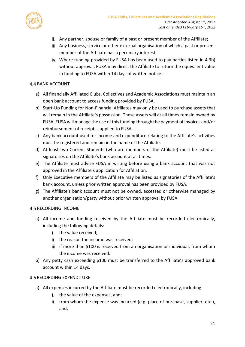

- ii. Any partner, spouse or family of a past or present member of the Affiliate;
- iii. Any business, service or other external organisation of which a past or present member of the Affiliate has a pecuniary interest;
- iv. Where funding provided by FUSA has been used to pay parties listed in [4.3b\)](#page-19-0) without approval, FUSA may direct the Affiliate to return the equivalent value in funding to FUSA within 14 days of written notice.

### **4.4 BANK ACCOUNT**

- a) All financially Affiliated Clubs, Collectives and Academic Associations must maintain an open bank account to access funding provided by FUSA.
- b) Start-Up Funding for Non-Financial Affiliates may only be used to purchase assets that will remain in the Affiliate's possession. These assets will at all times remain owned by FUSA. FUSA will manage the use of this funding through the payment of invoices and/or reimbursement of receipts supplied to FUSA.
- c) Any bank account used for income and expenditure relating to the Affiliate's activities must be registered and remain in the name of the Affiliate.
- d) At least two Current Students (who are members of the Affiliate) must be listed as signatories on the Affiliate's bank account at all times.
- e) The Affiliate must advise FUSA in writing before using a bank account that was not approved in the Affiliate's application for Affiliation.
- f) Only Executive members of the Affiliate may be listed as signatories of the Affiliate's bank account, unless prior written approval has been provided by FUSA.
- g) The Affiliate's bank account must not be owned, accessed or otherwise managed by another organisation/party without prior written approval by FUSA.

# **4.5 RECORDING INCOME**

- a) All income and funding received by the Affiliate must be recorded electronically, including the following details:
	- i. the value received:
	- ii. the reason the income was received:
	- iii. if more than \$100 is received from an organisation or individual, from whom the income was received.
- b) Any petty cash exceeding \$100 must be transferred to the Affiliate's approved bank account within 14 days.

# **4.6 RECORDING EXPENDITURE**

- a) All expenses incurred by the Affiliate must be recorded electronically, including:
	- i. the value of the expenses, and;
	- ii. from whom the expense was incurred (e.g: place of purchase, supplier, etc.), and;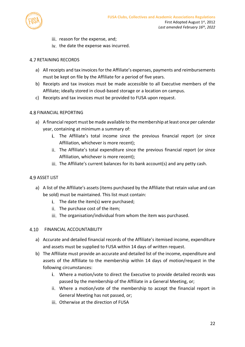

- iii. reason for the expense, and;
- iv. the date the expense was incurred.

### **4.7 RETAINING RECORDS**

- a) All receipts and tax invoices for the Affiliate's expenses, payments and reimbursements must be kept on file by the Affiliate for a period of five years.
- b) Receipts and tax invoices must be made accessible to all Executive members of the Affiliate; ideally stored in cloud-based storage or a location on campus.
- c) Receipts and tax invoices must be provided to FUSA upon request.

### <span id="page-21-1"></span>**4.8 FINANCIAL REPORTING**

- a) A financial report must be made available to the membership at least once per calendar year, containing at minimum a summary of:
	- i. The Affiliate's total income since the previous financial report (or since Affiliation, whichever is more recent);
	- ii. The Affiliate's total expenditure since the previous financial report (or since Affiliation, whichever is more recent);
	- $\overline{I}$  iii. The Affiliate's current balances for its bank account(s) and any petty cash.

### <span id="page-21-0"></span>**4.9 ASSET LIST**

- a) A list of the Affiliate's assets (items purchased by the Affiliate that retain value and can be sold) must be maintained. This list must contain:
	- $i.$  The date the item(s) were purchased;
	- ii. The purchase cost of the item;
	- iii. The organisation/individual from whom the item was purchased.

### FINANCIAL ACCOUNTABILITY

- a) Accurate and detailed financial records of the Affiliate's itemised income, expenditure and assets must be supplied to FUSA within 14 days of written request.
- b) The Affiliate must provide an accurate and detailed list of the income, expenditure and assets of the Affiliate to the membership within 14 days of motion/request in the following circumstances:
	- Where a motion/vote to direct the Executive to provide detailed records was passed by the membership of the Affiliate in a General Meeting, or;
	- Where a motion/vote of the membership to accept the financial report in General Meeting has not passed, or;
	- Otherwise at the direction of FUSA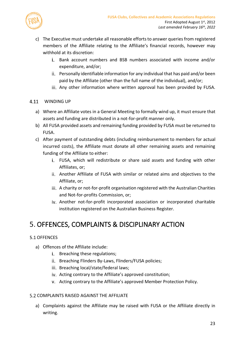



- c) The Executive must undertake all reasonable efforts to answer queries from registered members of the Affiliate relating to the Affiliate's financial records, however may withhold at its discretion:
	- Bank account numbers and BSB numbers associated with income and/or expenditure, and/or;
	- Personally identifiable information for any individual that has paid and/or been paid by the Affiliate (other than the full name of the individual), and/or;
	- iii. Any other information where written approval has been provided by FUSA.

### <span id="page-22-0"></span>4.11 WINDING UP

- a) Where an Affiliate votes in a General Meeting to formally wind up, it must ensure that assets and funding are distributed in a not-for-profit manner only.
- b) All FUSA provided assets and remaining funding provided by FUSA must be returned to FUSA.
- c) After payment of outstanding debts (including reimbursement to members for actual incurred costs), the Affiliate must donate all other remaining assets and remaining funding of the Affiliate to either:
	- FUSA, which will redistribute or share said assets and funding with other Affiliates, or;
	- ii. Another Affiliate of FUSA with similar or related aims and objectives to the Affiliate, or;
	- iii. A charity or not-for-profit organisation registered with the Australian Charities and Not-for-profits Commission, or;
	- iv. Another not-for-profit incorporated association or incorporated charitable institution registered on the Australian Business Register.

# OFFENCES, COMPLAINTS & DISCIPLINARY ACTION

# <span id="page-22-1"></span>5.1 OFFENCES

- a) Offences of the Affiliate include:
	- i. Breaching these regulations;
	- ii. Breaching Flinders By-Laws, Flinders/FUSA policies;
	- iii. Breaching local/state/federal laws;
	- iv. Acting contrary to the Affiliate's approved constitution;
	- Acting contrary to the Affiliate's approved Member Protection Policy.

### **5.2 COMPLAINTS RAISED AGAINST THE AFFILIATE**

a) Complaints against the Affiliate may be raised with FUSA or the Affiliate directly in writing.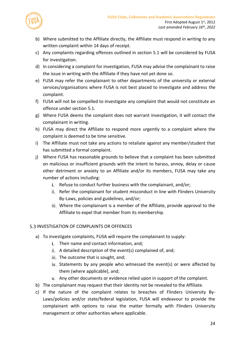

- b) Where submitted to the Affiliate directly, the Affiliate must respond in writing to any written complaint within 14 days of receipt.
- c) Any complaints regarding offences outlined in section [5.1](#page-22-1) will be considered by FUSA for investigation.
- d) In considering a complaint for investigation, FUSA may advise the complainant to raise the issue in writing with the Affiliate if they have not yet done so.
- e) FUSA may refer the complainant to other departments of the university or external services/organisations where FUSA is not best placed to investigate and address the complaint.
- f) FUSA will not be compelled to investigate any complaint that would not constitute an offence under section [5.1.](#page-22-1)
- g) Where FUSA deems the complaint does not warrant investigation, it will contact the complainant in writing.
- h) FUSA may direct the Affiliate to respond more urgently to a complaint where the complaint is deemed to be time sensitive.
- i) The Affiliate must not take any actions to retaliate against any member/student that has submitted a formal complaint.
- j) Where FUSA has reasonable grounds to believe that a complaint has been submitted on malicious or insufficient grounds with the intent to harass, annoy, delay or cause other detriment or anxiety to an Affiliate and/or its members, FUSA may take any number of actions including:
	- i. Refuse to conduct further business with the complainant, and/or;
	- ii. Refer the complainant for student misconduct in line with Flinders University By-Laws, policies and guidelines, and/or;
	- Where the complainant is a member of the Affiliate, provide approval to the Affiliate to expel that member from its membership.

# **5.3 INVESTIGATION OF COMPLAINTS OR OFFENCES**

- <span id="page-23-0"></span>a) To investigate complaints, FUSA will require the complainant to supply:
	- i. Their name and contact information, and;
	- ii. A detailed description of the event(s) complained of, and;
	- iii. The outcome that is sought, and;
	- iv. Statements by any people who witnessed the event(s) or were affected by them (where applicable), and;
	- Any other documents or evidence relied upon in support of the complaint.
- b) The complainant may request that their identity not be revealed to the Affiliate.
- c) If the nature of the complaint relates to breaches of Flinders University By-Laws/policies and/or state/federal legislation, FUSA will endeavour to provide the complainant with options to raise the matter formally with Flinders University management or other authorities where applicable.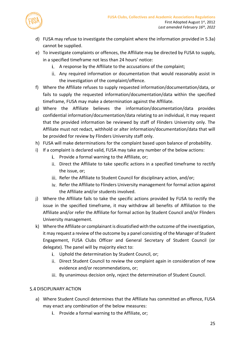

- d) FUSA may refuse to investigate the complaint where the information provided i[n 5.3a\)](#page-23-0) cannot be supplied.
- e) To investigate complaints or offences, the Affiliate may be directed by FUSA to supply, in a specified timeframe not less than 24 hours' notice:
	- i. A response by the Affiliate to the accusations of the complaint;
	- Any required information or documentation that would reasonably assist in the investigation of the complaint/offence.
- f) Where the Affiliate refuses to supply requested information/documentation/data, or fails to supply the requested information/documentation/data within the specified timeframe, FUSA may make a determination against the Affiliate.
- g) Where the Affiliate believes the information/documentation/data provides confidential information/documentation/data relating to an individual, it may request that the provided information be reviewed by staff of Flinders University only. The Affiliate must not redact, withhold or alter information/documentation/data that will be provided for review by Flinders University staff only.
- h) FUSA will make determinations for the complaint based upon balance of probability.
- i) If a complaint is declared valid, FUSA may take any number of the below actions:
	- i. Provide a formal warning to the Affiliate, or;
	- Direct the Affiliate to take specific actions in a specified timeframe to rectify the issue, or;
	- iii. Refer the Affiliate to Student Council for disciplinary action, and/or;
	- iv. Refer the Affiliate to Flinders University management for formal action against the Affiliate and/or students involved.
- j) Where the Affiliate fails to take the specific actions provided by FUSA to rectify the issue in the specified timeframe, it may withdraw all benefits of Affiliation to the Affiliate and/or refer the Affiliate for formal action by Student Council and/or Flinders University management.
- k) Where the Affiliate or complainant is dissatisfied with the outcome of the investigation, it may request a review of the outcome by a panel consisting of the Manager of Student Engagement, FUSA Clubs Officer and General Secretary of Student Council (or delegate). The panel will by majority elect to:
	- i. Uphold the determination by Student Council, or;
	- Direct Student Council to review the complaint again in consideration of new evidence and/or recommendations, or;
	- iii. By unanimous decision only, reject the determination of Student Council.

# **5.4 DISCIPLINARY ACTION**

- a) Where Student Council determines that the Affiliate has committed an offence, FUSA may enact any combination of the below measures:
	- i. Provide a formal warning to the Affiliate, or;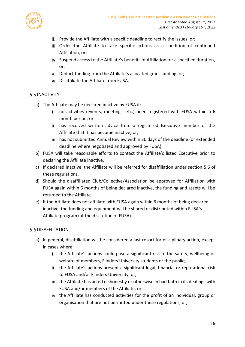

- ii. Provide the Affiliate with a specific deadline to rectify the issues, or;
- iii. Order the Affiliate to take specific actions as a condition of continued Affiliation, or;
- iv. Suspend access to the Affiliate's benefits of Affiliation for a specified duration, or;
- v. Deduct funding from the Affiliate's allocated grant funding, or;
- vi. Disaffiliate the Affiliate from FUSA.

### **5.5 INACTIVITY**

- a) The Affiliate may be declared inactive by FUSA if:
	- i. no activities (events, meetings, etc.) been registered with FUSA within a 6 month period, or;
	- ii. has received written advice from a registered Executive member of the Affiliate that it has become inactive, or;
	- iii. has not submitted Annual Review within 30 days of the deadline (or extended deadline where negotiated and approved by FUSA).
- b) FUSA will take reasonable efforts to contact the Affiliate's listed Executive prior to declaring the Affiliate inactive.
- c) If declared inactive, the Affiliate will be referred for disaffiliation under section [5.6](#page-25-0) of these regulations.
- d) Should the disaffiliated Club/Collective/Association be approved for Affiliation with FUSA again within 6 months of being declared inactive, the funding and assets will be returned to the Affiliate.
- e) If the Affiliate does not affiliate with FUSA again within 6 months of being declared inactive, the funding and equipment will be shared or distributed within FUSA's Affiliate program (at the discretion of FUSA).

#### <span id="page-25-0"></span>**5.6 DISAFFILIATION**

- a) In general, disaffiliation will be considered a last resort for disciplinary action, except in cases where:
	- i. the Affiliate's actions could pose a significant risk to the safety, wellbeing or welfare of members, Flinders University students or the public;
	- ii. the Affiliate's actions present a significant legal, financial or reputational risk to FUSA and/or Flinders University, or;
	- iii. the Affiliate has acted dishonestly or otherwise in bad faith in its dealings with FUSA and/or members of the Affiliate, or;
	- iv. the Affiliate has conducted activities for the profit of an individual, group or organisation that are not permitted under these regulations, or;